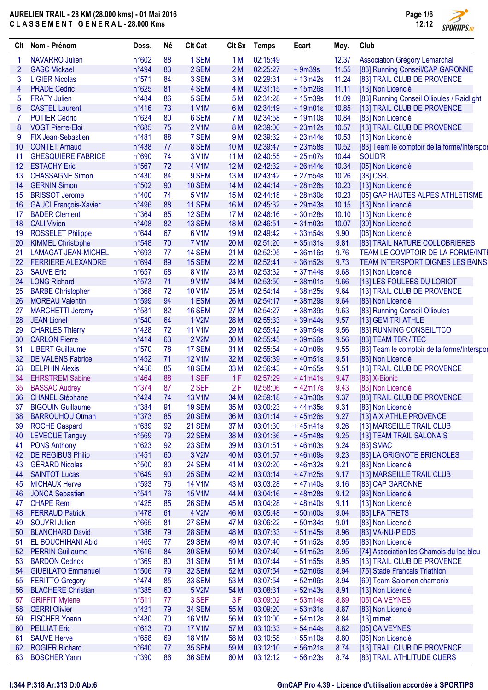

| Clt | Nom - Prénom                                  | Doss.          | Né | <b>Clt Cat</b> |                 | Clt Sx Temps | Ecart     | Moy.  | Club                                        |
|-----|-----------------------------------------------|----------------|----|----------------|-----------------|--------------|-----------|-------|---------------------------------------------|
|     | <b>NAVARRO Julien</b>                         | n°602          | 88 | 1 SEM          | 1 M             | 02:15:49     |           | 12.37 | Association Grégory Lemarchal               |
| 2   | <b>GASC Mickael</b>                           | n°494          | 83 | 2 SEM          | 2M              | 02:25:27     | $+9m39s$  | 11.55 | [83] Running Conseil/CAP GARONNE            |
| 3   | <b>LIGIER Nicolas</b>                         | n°571          | 84 | 3 SEM          | 3M              | 02:29:31     | $+13m42s$ | 11.24 | [83] TRAIL CLUB DE PROVENCE                 |
| 4   | <b>PRADE Cedric</b>                           | n°625          | 81 | 4 SEM          | 4 M             | 02:31:15     | $+15m26s$ | 11.11 | [13] Non Licencié                           |
| 5   | <b>FRATY Julien</b>                           | $n^{\circ}484$ | 86 | 5 SEM          | 5 M             | 02:31:28     | $+15m39s$ | 11.09 | [83] Running Conseil Ollioules / Raidlight  |
| 6   | <b>CASTEL Laurent</b>                         | $n^{\circ}416$ | 73 | 1 V1M          | 6 M             | 02:34:49     | $+19m01s$ | 10.85 | [13] TRAIL CLUB DE PROVENCE                 |
|     | <b>POTIER Cedric</b>                          | n°624          | 80 | 6 SEM          | 7 M             | 02:34:58     | $+19m10s$ | 10.84 | [83] Non Licencié                           |
| 8   | <b>VOGT Pierre-Eloi</b>                       | n°685          | 75 | 2 V1M          | 8 M             | 02:39:00     | $+23m12s$ | 10.57 | [13] TRAIL CLUB DE PROVENCE                 |
| 9   | <b>FIX Jean-Sebastien</b>                     | n°481          | 88 | 7 SEM          | 9 M             | 02:39:32     | $+23m44s$ | 10.53 | [13] Non Licencié                           |
| 10  | <b>CONTET Arnaud</b>                          | n°438          | 77 | 8 SEM          | 10 <sub>M</sub> | 02:39:47     | $+23m58s$ | 10.52 | [83] Team le comptoir de la forme/Interspor |
| 11  | <b>GHESQUIERE FABRICE</b>                     | n°690          | 74 | 3 V1M          | 11 <sub>M</sub> | 02:40:55     | $+25m07s$ | 10.44 | SOLID'R                                     |
| 12  | <b>ESTACHY Eric</b>                           | n°567          | 72 | 4 V1M          | 12M             | 02:42:32     | $+26m44s$ | 10.34 | [05] Non Licencié                           |
| 13  | <b>CHASSAGNE Simon</b>                        | n°430          | 84 | 9 SEM          | 13 M            | 02:43:42     | $+27m54s$ | 10.26 | $[38]$ CSBJ                                 |
| 14  | <b>GERNIN Simon</b>                           | n°502          | 90 | 10 SEM         | 14 M            | 02:44:14     | $+28m26s$ | 10.23 | [13] Non Licencié                           |
| 15  | <b>BRISSOT Jerome</b>                         | n°400          | 74 | 5 V1M          | 15 M            | 02:44:18     | $+28m30s$ | 10.23 | [05] GAP HAUTES ALPES ATHLETISME            |
| 16  | <b>GAUCI François-Xavier</b>                  | $n^{\circ}496$ | 88 | <b>11 SEM</b>  | 16 M            | 02:45:32     | $+29m43s$ | 10.15 | [13] Non Licencié                           |
| 17  | <b>BADER Clement</b>                          | n°364          | 85 | <b>12 SEM</b>  | 17 <sub>M</sub> | 02:46:16     | $+30m28s$ | 10.10 | [13] Non Licencié                           |
| 18  | <b>CALI Vivien</b>                            | n°408          | 82 | 13 SEM         | 18 M            | 02:46:51     | $+31m03s$ | 10.07 | [30] Non Licencié                           |
|     |                                               | $n^{\circ}644$ | 67 | 6 V1M          | 19 <sub>M</sub> | 02:49:42     | $+33m54s$ | 9.90  | [06] Non Licencié                           |
| 19  | <b>ROSSELET Philippe</b>                      |                | 70 |                |                 |              |           |       | [83] TRAIL NATURE COLLOBRIERES              |
| 20  | <b>KIMMEL Christophe</b>                      | n°548          |    | <b>7 V1M</b>   | 20 M            | 02:51:20     | $+35m31s$ | 9.81  |                                             |
| 21  | <b>LAMAGAT JEAN-MICHEL</b>                    | n°693          | 77 | 14 SEM         | 21 M            | 02:52:05     | $+36m16s$ | 9.76  | TEAM LE COMPTOIR DE LA FORME/INTE           |
| 22  | <b>FERRIERE ALEXANDRE</b>                     | n°694          | 89 | 15 SEM         | 22 M            | 02:52:41     | $+36m52s$ | 9.73  | TEAM INTERSPORT DIGNES LES BAINS            |
| 23  | <b>SAUVE Eric</b>                             | $n^{\circ}657$ | 68 | 8 V1M          | 23 M            | 02:53:32     | $+37m44s$ | 9.68  | [13] Non Licencié                           |
| 24  | <b>LONG Richard</b>                           | n°573          | 71 | 9 V1M          | 24 M            | 02:53:50     | $+38m01s$ | 9.66  | [13] LES FOULEES DU LORIOT                  |
| 25  | <b>BARBE Christopher</b>                      | n°368          | 72 | 10 V1M         | 25 M            | 02:54:14     | $+38m25s$ | 9.64  | [13] TRAIL CLUB DE PROVENCE                 |
| 26  | <b>MOREAU Valentin</b>                        | n°599          | 94 | 1ESM           | 26 M            | 02:54:17     | $+38m29s$ | 9.64  | [83] Non Licencié                           |
| 27  | <b>MARCHETTI Jeremy</b>                       | n°581          | 82 | 16 SEM         | 27 M            | 02:54:27     | $+38m39s$ | 9.63  | [83] Running Conseil Ollioules              |
| 28  | <b>JEAN Lionel</b>                            | n°540          | 64 | 1 V2M          | 28 M            | 02:55:33     | $+39m44s$ | 9.57  | [13] GEM TRI ATHLE                          |
| 29  | <b>CHARLES Thierry</b>                        | $n^{\circ}428$ | 72 | <b>11 V1M</b>  | 29 M            | 02:55:42     | $+39m54s$ | 9.56  | [83] RUNNING CONSEIL/TCO                    |
| 30  | <b>CARLON Pierre</b>                          | n°414          | 63 | 2 V2M          | 30 M            | 02:55:45     | $+39m56s$ | 9.56  | [83] TEAM TDR / TEC                         |
| 31  | <b>LIBERT Guillaume</b>                       | n°570          | 78 | 17 SEM         | 31 M            | 02:55:54     | $+40m06s$ | 9.55  | [83] Team le comptoir de la forme/Interspor |
| 32  | <b>DE VALENS Fabrice</b>                      | $n^{\circ}452$ | 71 | <b>12 V1M</b>  | 32 M            | 02:56:39     | $+40m51s$ | 9.51  | [83] Non Licencié                           |
| 33  | <b>DELPHIN Alexis</b>                         | $n^{\circ}456$ | 85 | 18 SEM         | 33 M            | 02:56:43     | $+40m55s$ | 9.51  | [13] TRAIL CLUB DE PROVENCE                 |
| 34  | <b>EHRSTREM Sabine</b>                        | n°464          | 88 | 1 SEF          | 1F              | 02:57:29     | $+41m41s$ | 9.47  | [83] X-Bionic                               |
| 35  | <b>BASSAC Audrey</b>                          | $n^{\circ}374$ | 87 | 2 SEF          | 2F              | 02:58:06     | $+42m17s$ | 9.43  | [83] Non Licencié                           |
| 36  | <b>CHANEL Stéphane</b>                        | $n^{\circ}424$ | 74 | 13 V1M         | 34 M            | 02:59:18     | $+43m30s$ | 9.37  | [83] TRAIL CLUB DE PROVENCE                 |
| 37  | <b>BIGOUIN Guillaume</b>                      | n°384          | 91 | <b>19 SEM</b>  | 35 M            | 03:00:23     | $+44m35s$ | 9.31  | [83] Non Licencié                           |
| 38  | <b>BARROUHOU Otman</b>                        | n°373          | 85 | <b>20 SEM</b>  | 36 M            | 03:01:14     | $+45m26s$ | 9.27  | [13] AIX ATHLE PROVENCE                     |
| 39  | <b>ROCHE Gaspard</b>                          | n°639          | 92 | 21 SEM         | 37 M            | 03:01:30     | $+45m41s$ | 9.26  | [13] MARSEILLE TRAIL CLUB                   |
| 40  | <b>LEVEQUE Tanguy</b>                         | n°569          | 79 | 22 SEM         | 38 M            | 03:01:36     | $+45m48s$ | 9.25  | [13] TEAM TRAIL SALONAIS                    |
| 41  | <b>PONS Anthony</b>                           | n°623          | 92 | 23 SEM         | 39 M            | 03:01:51     | $+46m03s$ | 9.24  | [83] SMAC                                   |
| 42  | <b>DE REGIBUS Philip</b>                      | $n^{\circ}451$ | 60 | 3 V2M          | 40 M            | 03:01:57     | $+46m09s$ | 9.23  | [83] LA GRIGNOTE BRIGNOLES                  |
| 43  | <b>GÉRARD Nicolas</b>                         | n°500          | 80 | 24 SEM         | 41 M            | 03:02:20     | $+46m32s$ | 9.21  | [83] Non Licencié                           |
| 44  | <b>SAINTOT Lucas</b>                          | n°649          | 90 | 25 SEM         | 42 M            | 03:03:14     | $+47m25s$ | 9.17  | [13] MARSEILLE TRAIL CLUB                   |
| 45  | <b>MICHAUX Herve</b>                          | n°593          | 76 | <b>14 V1M</b>  | 43 M            | 03:03:28     | $+47m40s$ | 9.16  | [83] CAP GARONNE                            |
| 46  | <b>JONCA Sebastien</b>                        | n°541          | 76 | <b>15 V1M</b>  | 44 M            | 03:04:16     | $+48m28s$ | 9.12  | [93] Non Licencié                           |
| 47  | <b>CHAPE Remi</b>                             | $n^{\circ}425$ | 85 | <b>26 SEM</b>  | 45 M            | 03:04:28     | $+48m40s$ | 9.11  | [13] Non Licencié                           |
| 48  | <b>FERRAUD Patrick</b>                        | $n^{\circ}478$ | 61 | 4 V2M          | 46 M            | 03:05:48     | $+50m00s$ | 9.04  | [83] LFA TRETS                              |
| 49  | <b>SOUYRI Julien</b>                          | $n^{\circ}665$ | 81 | 27 SEM         | 47 M            | 03:06:22     | $+50m34s$ | 9.01  | [83] Non Licencié                           |
| 50  | <b>BLANCHARD David</b>                        | $n^{\circ}386$ | 79 | <b>28 SEM</b>  | 48 M            | 03:07:33     | $+51m45s$ | 8.96  | [83] VA-NU-PIEDS                            |
| 51  | EL BOUCHIHANI Abid                            | $n^{\circ}465$ | 77 | <b>29 SEM</b>  | 49 M            | 03:07:40     | $+51m52s$ | 8.95  | [83] Non Licencié                           |
| 52  | <b>PERRIN Guillaume</b>                       | n°616          | 84 | <b>30 SEM</b>  | 50 M            | 03:07:40     | $+51m52s$ | 8.95  | [74] Association les Chamois du lac bleu    |
| 53  | <b>BARDON Cedrick</b>                         | n°369          | 80 | <b>31 SEM</b>  | 51 M            | 03:07:44     | $+51m55s$ | 8.95  | [13] TRAIL CLUB DE PROVENCE                 |
| 54  | <b>GIUBILATO Emmanuel</b>                     | n°506          | 79 | <b>32 SEM</b>  | 52 M            | 03:07:54     | $+52m06s$ | 8.94  | [75] Stade Francais Triathlon               |
| 55  | <b>FERITTO Gregory</b>                        | $n^{\circ}474$ | 85 | 33 SEM         | 53 M            | 03:07:54     | $+52m06s$ | 8.94  | [69] Team Salomon chamonix                  |
| 56  | <b>BLACHERE Christian</b>                     | $n^{\circ}385$ | 60 | 5 V2M          | 54 M            | 03:08:31     | $+52m43s$ | 8.91  | [13] Non Licencié                           |
|     |                                               | n°511          | 77 | 3 SEF          |                 | 03:09:02     | $+53m14s$ | 8.89  |                                             |
| 57  | <b>GRIFFIT Mylene</b><br><b>CERRI Olivier</b> | n°421          |    |                | 3F              | 03:09:20     | $+53m31s$ |       | [05] CA VEYNES                              |
| 58  |                                               |                | 79 | <b>34 SEM</b>  | 55 M            |              |           | 8.87  | [83] Non Licencié                           |
| 59  | <b>FISCHER Yoann</b>                          | n°480          | 70 | <b>16 V1M</b>  | 56 M            | 03:10:00     | $+54m12s$ | 8.84  | $[13]$ mimet                                |
| 60  | <b>PELLIAT Eric</b>                           | n°613          | 70 | <b>17 V1M</b>  | 57 M            | 03:10:33     | $+54m44s$ | 8.82  | [05] CA VEYNES                              |
| 61  | <b>SAUVE Herve</b>                            | $n^{\circ}658$ | 69 | <b>18 V1M</b>  | 58 M            | 03:10:58     | $+55m10s$ | 8.80  | [06] Non Licencié                           |
| 62  | <b>ROGIER Richard</b>                         | n°640          | 77 | <b>35 SEM</b>  | 59 M            | 03:12:10     | $+56m21s$ | 8.74  | [13] TRAIL CLUB DE PROVENCE                 |
| 63  | <b>BOSCHER Yann</b>                           | n°390          | 86 | <b>36 SEM</b>  | 60 M            | 03:12:12     | $+56m23s$ | 8.74  | [83] TRAIL ATHLITUDE CUERS                  |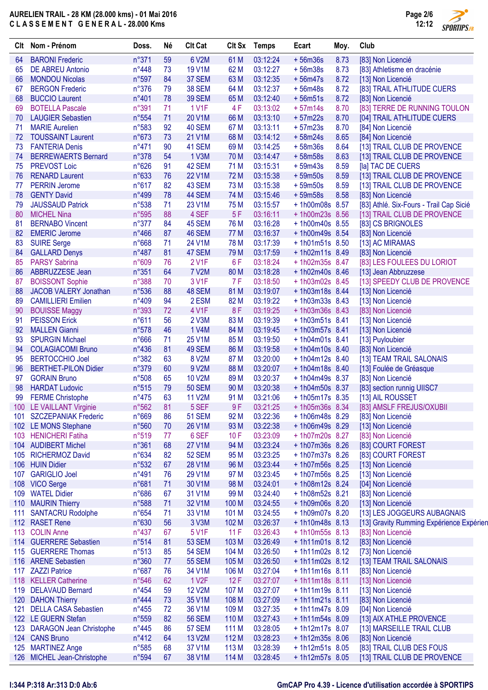

 $\overline{\phantom{a}}$ 

| Clt | Nom - Prénom                                  | Doss.          | Né       | <b>Clt Cat</b>          |                  | Clt Sx Temps         | Ecart                             | Moy. | Club                                     |
|-----|-----------------------------------------------|----------------|----------|-------------------------|------------------|----------------------|-----------------------------------|------|------------------------------------------|
| 64  | <b>BARONI Frederic</b>                        | n°371          | 59       | 6 V2M                   | 61 M             | 03:12:24             | $+56m36s$                         | 8.73 | [83] Non Licencié                        |
| 65  | <b>DE ABREU Antonio</b>                       | n°448          | 73       | <b>19 V1M</b>           | 62 M             | 03:12:27             | $+56m38s$                         | 8.73 | [83] Athletisme en dracénie              |
| 66  | <b>MONDOU Nicolas</b>                         | n°597          | 84       | 37 SEM                  | 63 M             | 03:12:35             | $+56m47s$                         | 8.72 | [13] Non Licencié                        |
| 67  | <b>BERGON Frederic</b>                        | n°376          | 79       | <b>38 SEM</b>           | 64 M             | 03:12:37             | $+56m48s$                         | 8.72 | [83] TRAIL ATHLITUDE CUERS               |
| 68  | <b>BUCCIO Laurent</b>                         | n°401          | 78       | <b>39 SEM</b>           | 65 M             | 03:12:40             | $+56m51s$                         | 8.72 | [83] Non Licencié                        |
| 69  | <b>BOTELLA Pascale</b>                        | n°391          | 71       | <b>1 V1F</b>            | 4F               | 03:13:02             | $+57m14s$                         | 8.70 | [83] TERRE DE RUNNING TOULON             |
| 70  | <b>LAUGIER Sebastien</b>                      | n°554          | 71       | 20 V1M                  | 66 M             | 03:13:10             | $+57m22s$                         | 8.70 | [04] TRAIL ATHLITUDE CUERS               |
| 71  | <b>MARIE Aurelien</b>                         | n°583          | 92       | 40 SEM                  | 67 M             | 03:13:11             | $+57m23s$                         | 8.70 | [84] Non Licencié                        |
| 72  | <b>TOUSSAINT Laurent</b>                      | n°673          | 73       | 21 V1M                  | 68 M             | 03:14:12             | $+58m24s$                         | 8.65 | [84] Non Licencié                        |
| 73  | <b>FANTERIA Denis</b>                         | $n^{\circ}471$ | 90       | 41 SEM                  | 69 <sub>M</sub>  | 03:14:25             | $+58m36s$                         | 8.64 | [13] TRAIL CLUB DE PROVENCE              |
| 74  | <b>BERREWAERTS Bernard</b>                    | n°378          | 54       | 1 V3M                   | 70 M             | 03:14:47             | $+58m58s$                         | 8.63 | [13] TRAIL CLUB DE PROVENCE              |
| 75  | <b>PREVOST Loic</b>                           | n°626          | 91       | 42 SEM                  | 71 M             | 03:15:31             | $+59m43s$                         | 8.59 | [la] TAC DE CUERS                        |
| 76  | <b>RENARD Laurent</b>                         | n°633          | 76       | 22 V1M                  | 72 M             | 03:15:38             | $+59m50s$                         | 8.59 | [13] TRAIL CLUB DE PROVENCE              |
| 77  | <b>PERRIN Jerome</b>                          | n°617          | 82       | 43 SEM                  | 73 M             | 03:15:38             | $+59m50s$                         | 8.59 | [13] TRAIL CLUB DE PROVENCE              |
| 78  | <b>GENTY David</b>                            | n°499          | 78       | 44 SEM                  | 74 M             | 03:15:46             | $+59m58s$                         | 8.58 | [83] Non Licencié                        |
| 79  | <b>JAUSSAUD Patrick</b>                       | n°538          | 71       | 23 V1M                  | 75 M             | 03:15:57             | +1h00m08s 8.57                    |      | [83] Athlé. Six-Fours - Trail Cap Sicié  |
| 80  | <b>MICHEL Nina</b>                            | n°595          | 88       | 4 SEF                   | 5F               | 03:16:11             | +1h00m23s 8.56                    |      | [13] TRAIL CLUB DE PROVENCE              |
| 81  | <b>BERNABO Vincent</b>                        | n°377          | 84       | 45 SEM                  | 76 M             | 03:16:28             | +1h00m40s 8.55                    |      | [83] CS BRIGNOLES                        |
| 82  | <b>EMERIC Jerome</b>                          | $n^{\circ}466$ | 87       | 46 SEM                  | 77 M             | 03:16:37             | +1h00m49s 8.54                    |      | [83] Non Licencié                        |
| 83  | <b>SUIRE Serge</b>                            | n°668          | 71       | 24 V1M                  | 78 M             | 03:17:39             | $+1h01m51s$ 8.50                  |      | [13] AC MIRAMAS                          |
| 84  | <b>GALLARD Denys</b>                          | $n^{\circ}487$ | 81       | 47 SEM                  | 79 M             | 03:17:59             | + 1h02m11s 8.49                   |      | [83] Non Licencié                        |
| 85  | <b>PARSY Sabrina</b>                          | n°609          | 76       | 2 V1F                   | 6F               | 03:18:24             | +1h02m35s 8.47                    |      | [83] LES FOULEES DU LORIOT               |
| 86  | ABBRUZZESE Jean                               | n°351          | 64       | <b>7 V2M</b>            | 80 M             | 03:18:28             | +1h02m40s 8.46                    |      | [13] Jean Abbruzzese                     |
| 87  | <b>BOISSONT Sophie</b>                        | n°388          | 70       | 3 V1F                   | 7F               | 03:18:50             | +1h03m02s 8.45                    |      | [13] SPEEDY CLUB DE PROVENCE             |
| 88  | JACOB VALERY Jonathan                         | n°536          | 88       | 48 SEM                  | 81 M             | 03:19:07             | +1h03m18s 8.44                    |      | [13] Non Licencié                        |
| 89  | <b>CAMILLIERI Emilien</b>                     | n°409          | 94       | 2 ESM                   | 82 M             | 03:19:22             | $+1h03m33s$ 8.43                  |      | [13] Non Licencié                        |
| 90  | <b>BOUISSE Maggy</b>                          | n°393          | 72       | 4 V1F                   | 8F               | 03:19:25             | +1h03m36s 8.43                    |      | [83] Non Licencié                        |
| 91  | <b>PEISSON Erick</b>                          | n°611          | 56       | 2 V3M                   | 83 M             | 03:19:39             | +1h03m51s 8.41                    |      | [13] Non Licencié                        |
| 92  | <b>MALLEN Gianni</b>                          | n°578          | 46       | 1 V4M                   | 84 M             | 03:19:45             | +1h03m57s 8.41                    |      | [13] Non Licencié                        |
| 93  | <b>SPURGIN Michael</b>                        | n°666          | 71       | 25 V1M                  | 85 M             | 03:19:50             | $+1h04m01s$ 8.41                  |      | [13] Puyloubier                          |
| 94  | <b>COLAGIACOMI Bruno</b>                      | n°436          | 81       | 49 SEM                  | 86 M             | 03:19:58             | $+1h04m10s$ 8.40                  |      | [83] Non Licencié                        |
| 95  | <b>BERTOCCHIO Joel</b>                        | n°382          | 63       | 8 V2M                   | 87 M             | 03:20:00             | $+1h04m12s$ 8.40                  |      | [13] TEAM TRAIL SALONAIS                 |
| 96  | <b>BERTHET-PILON Didier</b>                   | n°379          | 60       | 9 V2M                   | 88 M             | 03:20:07             | $+1h04m18s$ 8.40                  |      | [13] Foulée de Gréasque                  |
| 97  | <b>GORAIN Bruno</b>                           | n°508          | 65       | <b>10 V2M</b>           | 89 M             | 03:20:37             | +1h04m49s 8.37                    |      | [83] Non Licencié                        |
| 98  | <b>HARDAT Ludovic</b>                         | n°515          | 79       | <b>50 SEM</b>           | 90 M             | 03:20:38             | +1h04m50s 8.37                    |      | [83] section runnig UIISC7               |
| 99  | <b>FERME Christophe</b>                       | $n^{\circ}475$ | 63       | <b>11 V2M</b>           | 91 M             | 03:21:06             | +1h05m17s 8.35                    |      | [13] AIL ROUSSET                         |
|     | 100 LE VAILLANT Virginie                      | n°562          | 81       | 5 SEF                   | 9F               | 03:21:25             | +1h05m36s 8.34                    |      | [83] AMSLF FREJUS/OXUBII                 |
|     | 101 SZCZEPANIAK Frederic                      | n°669          | 86       | <b>51 SEM</b>           | 92 M             | 03:22:36             | +1h06m48s 8.29                    |      | [83] Non Licencié                        |
|     | 102 LE MONS Stephane                          | n°560          | 70       | 26 V1M                  | 93 M             | 03:22:38             | +1h06m49s 8.29                    |      | [13] Non Licencié                        |
|     | 103 HENICHERI Fatiha                          | n°519<br>n°361 | 77       | 6 SEF                   | 10F              | 03:23:09             | +1h07m20s 8.27                    |      | [83] Non Licencié<br>[83] COURT FOREST   |
| 105 | 104 AUDIBERT Michel<br><b>RICHERMOZ David</b> | n°634          | 68<br>82 | <b>27 V1M</b><br>52 SEM | 94 M<br>95 M     | 03:23:24<br>03:23:25 | +1h07m36s 8.26<br>+ 1h07m37s 8.26 |      |                                          |
| 106 | <b>HUIN Didier</b>                            | n°532          | 67       | 28 V1M                  | 96 M             | 03:23:44             | +1h07m56s 8.25                    |      | [83] COURT FOREST                        |
|     | <b>GARIGLIO Joel</b>                          | n°491          | 76       | 29 V1M                  | 97 M             | 03:23:45             | +1h07m56s 8.25                    |      | [13] Non Licencié<br>[13] Non Licencié   |
| 107 | 108 VICO Serge                                | n°681          | 71       | 30 V1M                  | 98 M             | 03:24:01             | +1h08m12s 8.24                    |      | [04] Non Licencié                        |
|     | 109 WATEL Didier                              | n°686          | 67       | 31 V1M                  | 99 M             | 03:24:40             | +1h08m52s 8.21                    |      | [83] Non Licencié                        |
|     | 110 MAURIN Thierry                            | n°588          | 71       | 32 V1M                  | 100 M            | 03:24:55             | +1h09m06s 8.20                    |      | [13] Non Licencié                        |
| 111 | <b>SANTACRU Rodolphe</b>                      | n°654          | 71       | 33 V1M                  | 101 M            | 03:24:55             | +1h09m07s 8.20                    |      | [13] LES JOGGEURS AUBAGNAIS              |
|     | 112 RASET Rene                                | n°630          | 56       | 3 V3M                   | 102 M            | 03:26:37             | +1h10m48s 8.13                    |      | [13] Gravity Rumming Expérience Expérien |
| 113 | <b>COLIN Anne</b>                             | $n^{\circ}437$ | 67       | 5 V1F                   | 11F              | 03:26:43             | +1h10m55s 8.13                    |      | [83] Non Licencié                        |
|     | 114 GUERRERE Sebastien                        | n°514          | 81       | <b>53 SEM</b>           | 103 M            | 03:26:49             | $+1h11m01s$ 8.12                  |      | [83] Non Licencié                        |
|     | 115 GUERRERE Thomas                           | n°513          | 85       | <b>54 SEM</b>           | 104 M            | 03:26:50             | $+1h11m02s$ 8.12                  |      | [73] Non Licencié                        |
| 116 | <b>ARENE Sebastien</b>                        | n°360          | 77       | <b>55 SEM</b>           | 105 M            | 03:26:50             | $+1h11m02s$ 8.12                  |      | [13] TEAM TRAIL SALONAIS                 |
| 117 | <b>ZAZZI Patrice</b>                          | n°687          | 76       | 34 V1M                  | 106 M            | 03:27:04             | $+1h11m16s$ 8.11                  |      | [83] Non Licencié                        |
| 118 | <b>KELLER Catherine</b>                       | n°546          | 62       | 1 V <sub>2</sub> F      | 12F              | 03:27:07             | $+1h11m18s$ 8.11                  |      | [13] Non Licencié                        |
| 119 | <b>DELAVAUD Bernard</b>                       | $n^{\circ}454$ | 59       | <b>12 V2M</b>           | 107 M            | 03:27:07             | $+1h11m19s$ 8.11                  |      | [13] Non Licencié                        |
| 120 | <b>DAHON Thierry</b>                          | $n^{\circ}444$ | 73       | 35 V1M                  | 108 M            | 03:27:09             | $+1h11m21s$ 8.11                  |      | [83] Non Licencié                        |
| 121 | <b>DELLA CASA Sebastien</b>                   | $n^{\circ}455$ | 72       | 36 V1M                  | 109 <sub>M</sub> | 03:27:35             | +1h11m47s 8.09                    |      | [04] Non Licencié                        |
|     | 122 LE GUERN Stefan                           | n°559          | 82       | <b>56 SEM</b>           | 110 <sub>M</sub> | 03:27:43             | +1h11m54s 8.09                    |      | [13] AIX ATHLE PROVENCE                  |
| 123 | <b>DARAGON Jean Christophe</b>                | $n^{\circ}445$ | 86       | <b>57 SEM</b>           | 111 M            | 03:28:05             | +1h12m17s 8.07                    |      | [13] MARSEILLE TRAIL CLUB                |
| 124 | <b>CANS Bruno</b>                             | n°412          | 64       | 13 V2M                  | 112M             | 03:28:23             | $+1h12m35s$ 8.06                  |      | [83] Non Licencié                        |
| 125 | <b>MARTINEZ Ange</b>                          | n°585          | 68       | 37 V1M                  | 113 M            | 03:28:39             | $+1h12m51s$ 8.05                  |      | [83] TRAIL CLUB DES FOUS                 |
|     | 126 MICHEL Jean-Christophe                    | n°594          | 67       | 38 V1M                  | 114 M            | 03:28:45             | +1h12m57s 8.05                    |      | [13] TRAIL CLUB DE PROVENCE              |
|     |                                               |                |          |                         |                  |                      |                                   |      |                                          |

#### **I:344 P:318 Ar:313 D:0 Ab:6 GmCAP Pro 4.39 - Licence d'utilisation accordée à SPORTIPS**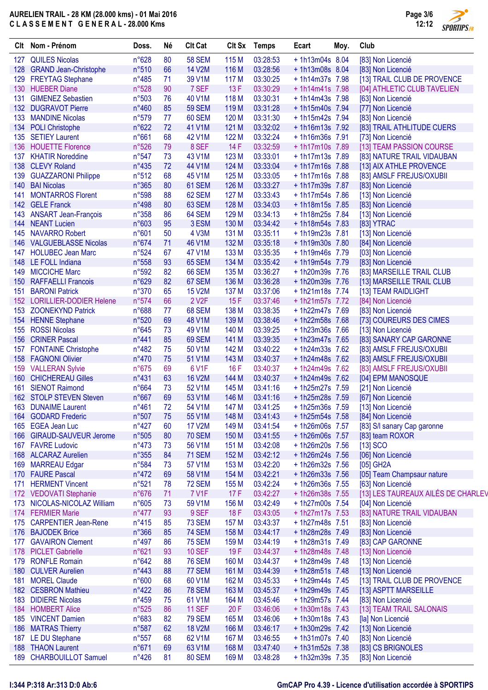

 $\overline{\phantom{a}}$ 

|     | Clt Nom - Prénom                             | Doss.          | Né       | <b>Clt Cat</b>                 |                  | Clt Sx Temps         | Ecart                            | Moy. | Club                               |
|-----|----------------------------------------------|----------------|----------|--------------------------------|------------------|----------------------|----------------------------------|------|------------------------------------|
|     | 127 QUILES Nicolas                           | n°628          | 80       | <b>58 SEM</b>                  | 115 M            | 03:28:53             | +1h13m04s 8.04                   |      | [83] Non Licencié                  |
|     | 128 GRAND Jean-Christophe                    | n°510          | 66       | <b>14 V2M</b>                  | 116 M            | 03:28:56             | +1h13m08s 8.04                   |      | [83] Non Licencié                  |
|     | 129 FREYTAG Stephane                         | $n^{\circ}485$ | 71       | 39 V1M                         | 117 M            | 03:30:25             | + 1h14m37s 7.98                  |      | [13] TRAIL CLUB DE PROVENCE        |
|     | 130 HUEBER Diane                             | n°528          | 90       | 7 SEF                          | 13F              | 03:30:29             | + 1h14m41s 7.98                  |      | [04] ATHLETIC CLUB TAVELIEN        |
| 131 | <b>GIMENEZ Sebastien</b>                     | n°503          | 76       | 40 V1M                         | 118 M            | 03:30:31             | + 1h14m43s 7.98                  |      | [63] Non Licencié                  |
|     | 132 DUGRAVOT Pierre                          | n°460          | 85       | <b>59 SEM</b>                  | 119 <sub>M</sub> | 03:31:28             | +1h15m40s 7.94                   |      | [77] Non Licencié                  |
|     | 133 MANDINE Nicolas                          | n°579          | 77       | 60 SEM                         | 120 M            | 03:31:30             | +1h15m42s 7.94                   |      | [83] Non Licencié                  |
|     | 134 POLI Christophe                          | n°622          | 72       | 41 V1M                         | 121 M            | 03:32:02             | +1h16m13s 7.92                   |      | [83] TRAIL ATHLITUDE CUERS         |
|     | 135 SETIEY Laurent                           | n°661          | 68       | 42 V1M                         | 122 M            | 03:32:24             | +1h16m36s 7.91                   |      | [73] Non Licencié                  |
|     | 136 HOUETTE Florence                         | n°526          | 79       | 8 SEF                          | 14F              | 03:32:59             | +1h17m10s 7.89                   |      | [13] TEAM PASSION COURSE           |
|     | 137 KHATIR Noreddine                         | $n^{\circ}547$ | 73       | 43 V1M                         | 123 M            | 03:33:01             | + 1h17m13s 7.89                  |      | [83] NATURE TRAIL VIDAUBAN         |
|     | 138 CLEVY Roland                             | $n^{\circ}435$ | 72       | 44 V1M                         | 124 M            | 03:33:04             | +1h17m16s 7.88                   |      | [13] AIX ATHLE PROVENCE            |
|     | 139 GUAZZARONI Philippe                      | n°512          | 68       | 45 V1M                         | 125 M            | 03:33:05             | +1h17m16s 7.88                   |      | [83] AMSLF FREJUS/OXUBII           |
|     | 140 BAI Nicolas                              | $n^{\circ}365$ | 80       | 61 SEM                         | 126 M            | 03:33:27             | + 1h17m39s 7.87                  |      | [83] Non Licencié                  |
| 141 | <b>MONTARROS Florent</b>                     | n°598          | 88       | 62 SEM                         | 127 M            | 03:33:43             | + 1h17m54s 7.86                  |      | [13] Non Licencié                  |
|     | 142 GELE Franck                              | n°498          | 80       | 63 SEM                         | 128 M            | 03:34:03             | +1h18m15s 7.85                   |      | [83] Non Licencié                  |
|     | 143 ANSART Jean-François                     | $n^{\circ}358$ | 86       | 64 SEM                         | 129 M            | 03:34:13             | +1h18m25s 7.84                   |      | [13] Non Licencié                  |
|     | 144 NEANT Lucien                             | n°603          | 95       | 3 ESM                          | 130 M            | 03:34:42             | + 1h18m54s 7.83                  |      | [83] YTRAC                         |
| 145 | <b>NAVARRO Robert</b>                        | n°601          | 50       | 4 V3M                          | 131 M            | 03:35:11             | +1h19m23s 7.81                   |      | [13] Non Licencié                  |
|     | 146 VALGUEBLASSE Nicolas                     | n°674          | 71       | 46 V1M                         | 132 M            | 03:35:18             | +1h19m30s 7.80                   |      | [84] Non Licencié                  |
|     | 147 HOLUBEC Jean Marc                        | n°524          | 67       | 47 V1M                         | 133 M            | 03:35:35             | +1h19m46s 7.79                   |      | [03] Non Licencié                  |
|     | 148 LE FOLL Indiana                          | n°558          | 93       | <b>65 SEM</b>                  | 134 M            | 03:35:42             | + 1h19m54s 7.79                  |      | [83] Non Licencié                  |
| 149 | <b>MICCICHE Marc</b>                         | n°592          | 82       | 66 SEM                         | 135 M            | 03:36:27             | +1h20m39s 7.76                   |      | [83] MARSEILLE TRAIL CLUB          |
|     | 150 RAFFAELLI Francois                       | n°629          | 82       | 67 SEM                         | 136 M            | 03:36:28             | +1h20m39s 7.76                   |      | [13] MARSEILLE TRAIL CLUB          |
| 151 | <b>BARONI Patrick</b>                        | n°370          | 65       | <b>15 V2M</b>                  | 137 M            | 03:37:06             | +1h21m18s 7.74                   |      | [13] TEAM RAIDLIGHT                |
|     | 152 LORILLIER-DODIER Helene                  | n°574          | 66       | 2 V <sub>2</sub> F             | 15F              | 03:37:46             | + 1h21m57s 7.72                  |      | [84] Non Licencié                  |
|     | 153 ZOONEKYND Patrick                        | n°688          | 77       | 68 SEM                         | 138 M            | 03:38:35             | + 1h22m47s 7.69                  |      | [83] Non Licencié                  |
|     | 154 HENNE Stephane                           | n°520          | 69       | 48 V1M                         | 139 M            | 03:38:46             | +1h22m58s 7.68                   |      | [73] COUREURS DES CIMES            |
|     | 155 ROSSI Nicolas                            | n°645          | 73       | 49 V1M                         | 140 M            | 03:39:25             | + 1h23m36s 7.66                  |      | [13] Non Licencié                  |
| 156 | <b>CRINER Pascal</b>                         | n°441          | 85       | 69 SEM                         | 141 M            | 03:39:35             | + 1h23m47s 7.65                  |      | [83] SANARY CAP GARONNE            |
|     | 157 FONTAINE Christophe                      | $n^{\circ}482$ | 75       | 50 V1M                         | 142 M            | 03:40:22             | $+1h24m33s$ 7.62                 |      | [83] AMSLF FREJUS/OXUBII           |
|     | 158 FAGNONI Olivier                          | $n^{\circ}470$ | 75       | 51 V1M                         | 143 M            | 03:40:37             | + 1h24m48s 7.62                  |      | [83] AMSLF FREJUS/OXUBII           |
|     | 159 VALLERAN Sylvie                          | $n^{\circ}675$ | 69       | 6 V1F                          | 16F              | 03:40:37             | + 1h24m49s 7.62                  |      | [83] AMSLF FREJUS/OXUBII           |
|     | 160 CHICHEREAU Gilles                        | n°431          | 63       | <b>16 V2M</b>                  | 144 M            | 03:40:37             | + 1h24m49s 7.62                  |      | [04] EPM MANOSQUE                  |
| 161 | <b>SIENOT Raimond</b>                        | n°664          | 73       | 52 V1M                         | 145 M            | 03:41:16             | + 1h25m27s 7.59                  |      | [21] Non Licencié                  |
|     | 162 STOLP STEVEN Steven                      | n°667          | 69       | 53 V1M                         | 146 M            | 03:41:16             | +1h25m28s 7.59                   |      | [67] Non Licencié                  |
|     | 163 DUNAIME Laurent                          | $n^{\circ}461$ | 72       | 54 V1M                         | 147 M            | 03:41:25             | + 1h25m36s 7.59                  |      | [13] Non Licencié                  |
|     | 164 GODARD Frederic                          | n°507          | 75       | 55 V1M                         | 148 M            | 03:41:43             | + 1h25m54s 7.58                  |      | [84] Non Licencié                  |
| 165 | <b>EGEA Jean Luc</b>                         | $n^{\circ}427$ | 60       | <b>17 V2M</b>                  | 149 M            | 03:41:54             | +1h26m06s 7.57                   |      | [83] S/I sanary Cap garonne        |
|     | 166 GIRAUD-SAUVEUR Jerome                    | n°505          | 80       | <b>70 SEM</b>                  | 150 M            | 03:41:55             | +1h26m06s 7.57                   |      | [83] team ROXOR                    |
|     | 167 FAVRE Ludovic                            | $n^{\circ}473$ | 73       | 56 V1M                         | 151 M            | 03:42:08             | +1h26m20s 7.56                   |      | $[13]$ SCO                         |
|     | 168 ALCARAZ Aurelien                         | n°355          | 84       | <b>71 SEM</b>                  | 152 M            | 03:42:12             | + 1h26m24s 7.56                  |      | [06] Non Licencié                  |
|     | 169 MARREAU Edgar                            | n°584          | 73       | 57 V1M                         | 153 M            | 03:42:20             | +1h26m32s 7.56                   |      | [05] GH2A                          |
|     | 170 FAURE Pascal                             | $n^{\circ}472$ | 69       | 58 V1M                         | 154 M            | 03:42:21             | + 1h26m33s 7.56                  |      | [05] Team Champsaur nature         |
| 171 | <b>HERMENT Vincent</b>                       | n°521          | 78       | <b>72 SEM</b>                  | 155 M            | 03:42:24             | +1h26m36s 7.55                   |      | [63] Non Licencié                  |
|     | 172 VEDOVATI Stephanie                       | $n^{\circ}676$ | 71       | <b>7 V1F</b>                   | 17F              | 03:42:27             | + 1h26m38s 7.55                  |      | [13] LES TAUREAUX AILÉS DE CHARLEV |
|     | 173 NICOLAS-NICOLAZ William                  | n°605          | 73       | 59 V1M                         | 156 M            | 03:42:49             | +1h27m00s 7.54                   |      | [04] Non Licencié                  |
|     | 174 FERMIER Marie                            | $n^{\circ}477$ | 93       | 9 SEF                          | 18 F             | 03:43:05             | + 1h27m17s 7.53                  |      | [83] NATURE TRAIL VIDAUBAN         |
| 175 | <b>CARPENTIER Jean-Rene</b>                  | $n^{\circ}415$ | 85       | 73 SEM                         | 157 M            |                      | +1h27m48s 7.51                   |      |                                    |
|     | <b>BAJODEK Brice</b>                         | $n^{\circ}366$ | 85       | <b>74 SEM</b>                  | 158 M            | 03:43:37             | +1h28m28s 7.49                   |      | [83] Non Licencié                  |
| 176 | <b>GAVAIRON Clement</b>                      | $n^{\circ}497$ | 86       | <b>75 SEM</b>                  | 159 M            | 03:44:17<br>03:44:19 | + 1h28m31s 7.49                  |      | [83] Non Licencié                  |
| 177 |                                              |                |          |                                |                  |                      |                                  |      | [83] CAP GARONNE                   |
| 178 | <b>PICLET Gabrielle</b><br>179 RONFLE Romain | n°621<br>n°642 | 93<br>88 | <b>10 SEF</b><br><b>76 SEM</b> | 19F<br>160 M     | 03:44:37<br>03:44:37 | +1h28m48s 7.48<br>+1h28m49s 7.48 |      | [13] Non Licencié                  |
|     |                                              | n°443          | 88       | 77 SEM                         | 161 M            |                      |                                  |      | [13] Non Licencié                  |
|     | 180 CULVER Aurelien                          |                |          |                                |                  | 03:44:39             | +1h28m51s 7.48                   |      | [13] Non Licencié                  |
| 181 | <b>MOREL Claude</b>                          | n°600          | 68       | 60 V1M                         | 162 M            | 03:45:33             | + 1h29m44s 7.45                  |      | [13] TRAIL CLUB DE PROVENCE        |
|     | 182 CESBRON Mathieu                          | $n^{\circ}422$ | 86       | <b>78 SEM</b>                  | 163 M            | 03:45:37             | +1h29m49s 7.45                   |      | [13] ASPTT MARSEILLE               |
|     | 183 DIDIERE Nicolas                          | $n^{\circ}459$ | 75       | 61 V1M                         | 164 M            | 03:45:46             | +1h29m57s 7.44                   |      | [83] Non Licencié                  |
|     | 184 HOMBERT Alice                            | n°525          | 86       | <b>11 SEF</b>                  | 20F              | 03:46:06             | + 1h30m18s 7.43                  |      | [13] TEAM TRAIL SALONAIS           |
| 185 | <b>VINCENT Damien</b>                        | n°683          | 82       | <b>79 SEM</b>                  | 165 M            | 03:46:06             | +1h30m18s 7.43                   |      | [la] Non Licencié                  |
|     | 186 MATRAS Thierry                           | n°587          | 62       | <b>18 V2M</b>                  | 166 M            | 03:46:17             | +1h30m29s 7.42                   |      | [13] Non Licencié                  |
| 187 | LE DU Stephane                               | $n^{\circ}557$ | 68       | 62 V1M                         | 167 M            | 03:46:55             | +1h31m07s 7.40                   |      | [83] Non Licencié                  |
|     | 188 THAON Laurent                            | n°671          | 69       | 63 V1M                         | 168 M            | 03:47:40             | + 1h31m52s 7.38                  |      | [83] CS BRIGNOLES                  |
|     | 189 CHARBOUILLOT Samuel                      | $n^{\circ}426$ | 81       | <b>80 SEM</b>                  | 169 M            | 03:48:28             | + 1h32m39s 7.35                  |      | [83] Non Licencié                  |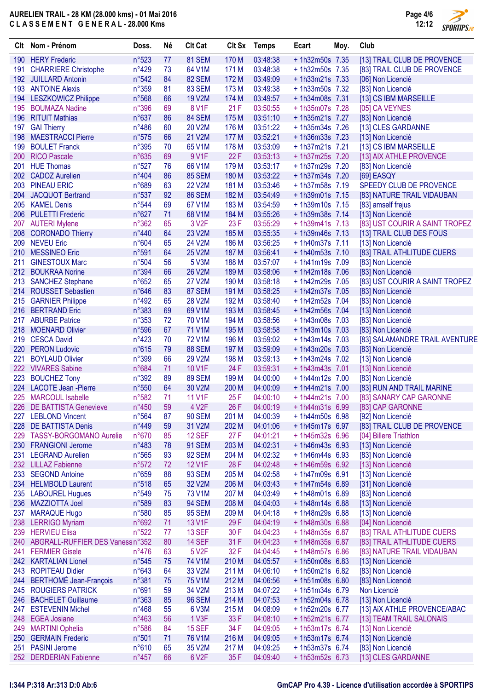

 $\overline{\phantom{a}}$ 

| Clt | Nom - Prénom                         | Doss.          | Né | <b>Clt Cat</b>     |       | Clt Sx Temps  | Ecart            | Moy. | Club                           |
|-----|--------------------------------------|----------------|----|--------------------|-------|---------------|------------------|------|--------------------------------|
|     | 190 HERY Frederic                    | n°523          | 77 | 81 SEM             | 170 M | 03:48:38      | +1h32m50s 7.35   |      | [13] TRAIL CLUB DE PROVENCE    |
| 191 | <b>CHARRIERE Christophe</b>          | $n^{\circ}429$ | 73 | 64 V1M             | 171 M | 03:48:38      | +1h32m50s 7.35   |      | [83] TRAIL CLUB DE PROVENCE    |
|     | 192 JUILLARD Antonin                 | n°542          | 84 | <b>82 SEM</b>      | 172 M | 03:49:09      | $+1h33m21s$ 7.33 |      | [06] Non Licencié              |
|     | 193 ANTOINE Alexis                   | n°359          | 81 | 83 SEM             | 173 M | 03:49:38      | +1h33m50s 7.32   |      | [83] Non Licencié              |
|     | 194 LESZKOWICZ Philippe              | n°568          | 66 | <b>19 V2M</b>      | 174 M | 03:49:57      | +1h34m08s 7.31   |      | [13] CS IBM MARSEILLE          |
| 195 | <b>BOUMAZA Nadine</b>                | n°396          | 69 | 8 V1F              | 21F   | 03:50:55      | +1h35m07s 7.28   |      | [05] CA VEYNES                 |
| 196 | <b>RITUIT Mathias</b>                | n°637          | 86 | 84 SEM             | 175 M | 03:51:10      | +1h35m21s 7.27   |      | [83] Non Licencié              |
| 197 | <b>GAI Thierry</b>                   | $n^{\circ}486$ | 60 | 20 V2M             | 176 M | 03:51:22      | + 1h35m34s 7.26  |      | [13] CLES GARDANNE             |
| 198 | <b>MAESTRACCI Pierre</b>             | n°575          | 66 | 21 V2M             | 177 M | 03:52:21      | + 1h36m33s 7.23  |      | [13] Non Licencié              |
| 199 | <b>BOULET Franck</b>                 | n°395          | 70 | 65 V1M             | 178 M | 03:53:09      | +1h37m21s 7.21   |      | [13] CS IBM MARSEILLE          |
| 200 | <b>RICO Pascale</b>                  | n°635          | 69 | 9 V1F              | 22F   | 03:53:13      | + 1h37m25s 7.20  |      | [13] AIX ATHLE PROVENCE        |
| 201 | <b>HUE Thomas</b>                    | n°527          | 76 | 66 V1M             | 179 M | 03:53:17      | +1h37m29s 7.20   |      | [83] Non Licencié              |
|     | 202 CADOZ Aurelien                   | n°404          | 86 | <b>85 SEM</b>      | 180 M | 03:53:22      | + 1h37m34s 7.20  |      | [69] EASQY                     |
|     | 203 PINEAU ERIC                      | n°689          | 63 | <b>22 V2M</b>      | 181 M | 03:53:46      | +1h37m58s 7.19   |      | SPEEDY CLUB DE PROVENCE        |
| 204 | <b>JACQUOT Bertrand</b>              | n°537          | 92 | <b>86 SEM</b>      | 182 M | 03:54:49      | +1h39m01s 7.15   |      | [83] NATURE TRAIL VIDAUBAN     |
|     | 205 KAMEL Denis                      | n°544          | 69 | 67 V1M             | 183 M | 03:54:59      | +1h39m10s 7.15   |      | [83] amself frejus             |
| 206 | <b>PULETTI Frederic</b>              | n°627          | 71 | 68 V1M             | 184 M | 03:55:26      | +1h39m38s 7.14   |      | [13] Non Licencié              |
| 207 | <b>AUTERI Mylene</b>                 | n°362          | 65 | 3 V <sub>2</sub> F | 23 F  | 03:55:29      | $+1h39m41s$ 7.13 |      | [83] UST COURIR A SAINT TROPEZ |
| 208 | <b>CORONADO Thierry</b>              | n°440          | 64 | 23 V2M             | 185 M | 03:55:35      | +1h39m46s 7.13   |      | [13] TRAIL CLUB DES FOUS       |
|     | 209 NEVEU Eric                       | n°604          | 65 | 24 V2M             | 186 M | 03:56:25      | +1h40m37s 7.11   |      | [13] Non Licencié              |
|     | 210 MESSINEO Eric                    | n°591          | 64 | <b>25 V2M</b>      | 187 M | 03:56:41      | +1h40m53s 7.10   |      | [83] TRAIL ATHLITUDE CUERS     |
| 211 | <b>GINESTOUX Marc</b>                | n°504          | 56 | 5 V3M              | 188 M | 03:57:07      | $+1h41m19s$ 7.09 |      | [83] Non Licencié              |
|     | 212 BOUKRAA Norine                   | n°394          | 66 | 26 V2M             | 189 M | 03:58:06      | +1h42m18s 7.06   |      | [83] Non Licencié              |
|     | 213 SANCHEZ Stephane                 | n°652          | 65 | <b>27 V2M</b>      | 190 M | 03:58:18      | +1h42m29s 7.05   |      | [83] UST COURIR A SAINT TROPEZ |
|     | 214 ROUSSET Sebastien                | n°646          | 83 | 87 SEM             | 191 M | 03:58:25      | + 1h42m37s 7.05  |      | [83] Non Licencié              |
|     | 215 GARNIER Philippe                 | $n^{\circ}492$ | 65 | 28 V2M             | 192 M | 03:58:40      | +1h42m52s 7.04   |      | [83] Non Licencié              |
|     | 216 BERTRAND Eric                    | n°383          | 69 | 69 V1M             | 193 M | 03:58:45      | +1h42m56s 7.04   |      | [13] Non Licencié              |
|     | 217 ABURBE Patrice                   | n°353          | 72 | 70 V1M             | 194 M | 03:58:56      | +1h43m08s 7.03   |      | [83] Non Licencié              |
|     | 218 MOENARD Olivier                  | n°596          | 67 | 71 V1M             | 195 M | 03:58:58      | +1h43m10s 7.03   |      | [83] Non Licencié              |
|     | 219 CESCA David                      | $n^{\circ}423$ | 70 | <b>72 V1M</b>      | 196 M | 03:59:02      | $+1h43m14s$ 7.03 |      | [83] SALAMANDRE TRAIL AVENTURE |
|     | 220 PERON Ludovic                    | n°615          | 79 | <b>88 SEM</b>      | 197 M | 03:59:09      | +1h43m20s 7.03   |      | [83] Non Licencié              |
| 221 | <b>BOYLAUD Olivier</b>               | n°399          | 66 | 29 V2M             | 198 M | 03:59:13      | + 1h43m24s 7.02  |      | [13] Non Licencié              |
|     | 222 VIVARES Sabine                   | n°684          | 71 | 10 V1F             | 24 F  | 03:59:31      | + 1h43m43s 7.01  |      | [13] Non Licencié              |
|     | 223 BOUCHEZ Tony                     | n°392          | 89 | <b>89 SEM</b>      | 199 M | 04:00:00      | +1h44m12s 7.00   |      | [83] Non Licencié              |
|     | 224 LACOTE Jean - Pierre             | n°550          | 64 | 30 V2M             | 200 M | 04:00:09      | + 1h44m21s 7.00  |      | [83] RUN AND TRAIL MARINE      |
| 225 | <b>MARCOUL Isabelle</b>              | n°582          | 71 | <b>11 V1F</b>      | 25F   | 04:00:10      | + 1h44m21s 7.00  |      | [83] SANARY CAP GARONNE        |
|     | 226 DE BATTISTA Genevieve            | $n^{\circ}450$ | 59 | 4 V <sub>2</sub> F |       | 26 F 04:00:19 | $+1h44m31s$ 6.99 |      | [83] CAP GARONNE               |
|     | 227 LEBLOND Vincent                  | n°564          | 87 | <b>90 SEM</b>      | 201 M | 04:00:39      | +1h44m50s 6.98   |      | [92] Non Licencié              |
|     | 228 DE BATTISTA Denis                | n°449          | 59 | 31 V2M             | 202 M | 04:01:06      | + 1h45m17s 6.97  |      | [83] TRAIL CLUB DE PROVENCE    |
|     | 229 TASSY-BORGOMANO Aurelie          | n°670          | 85 | <b>12 SEF</b>      | 27F   | 04:01:21      | $+1h45m32s$ 6.96 |      | [04] Billere Triathlon         |
|     | 230 FRANGIONI Jerome                 | n°483          | 78 | <b>91 SEM</b>      | 203 M | 04:02:31      | $+1h46m43s$ 6.93 |      | [13] Non Licencié              |
| 231 | <b>LEGRAND Aurelien</b>              | n°565          | 93 | <b>92 SEM</b>      | 204 M | 04:02:32      | $+1h46m44s$ 6.93 |      | [83] Non Licencié              |
|     | 232 LILLAZ Fabienne                  | n°572          | 72 | 12 V1F             | 28 F  | 04:02:48      | +1h46m59s 6.92   |      | [13] Non Licencié              |
|     | 233 SEGOND Antoine                   | n°659          | 88 | <b>93 SEM</b>      | 205 M | 04:02:58      | +1h47m09s 6.91   |      | [13] Non Licencié              |
|     | 234 HELMBOLD Laurent                 | n°518          | 65 | 32 V2M             | 206 M | 04:03:43      | + 1h47m54s 6.89  |      | [31] Non Licencié              |
|     | 235 LABOUREL Hugues                  | n°549          | 75 | 73 V1M             | 207 M | 04:03:49      | +1h48m01s 6.89   |      | [83] Non Licencié              |
|     | 236 MAZZIOTTA Joel                   | n°589          | 83 | <b>94 SEM</b>      | 208 M | 04:04:03      | +1h48m14s 6.88   |      | [13] Non Licencié              |
| 237 | <b>MARAQUE Hugo</b>                  | n°580          | 85 | <b>95 SEM</b>      | 209 M | 04:04:18      | +1h48m29s 6.88   |      | [13] Non Licencié              |
|     | 238 LERRIGO Myriam                   | n°692          | 71 | 13 V1F             | 29F   | 04:04:19      | +1h48m30s 6.88   |      | [04] Non Licencié              |
|     | 239 HERVIEU Elisa                    | n°522          | 77 | <b>13 SEF</b>      | 30 F  | 04:04:23      | +1h48m35s 6.87   |      | [83] TRAIL ATHLITUDE CUERS     |
|     | 240 ABGRALL-RUFFIER DES Vaness n°352 |                | 80 | <b>14 SEF</b>      | 31 F  | 04:04:23      | +1h48m35s 6.87   |      | [83] TRAIL ATHLITUDE CUERS     |
|     | 241 FERMIER Gisele                   | $n^{\circ}476$ | 63 | 5 V2F              | 32 F  | 04:04:45      | +1h48m57s 6.86   |      | [83] NATURE TRAIL VIDAUBAN     |
|     | 242 KARTALIAN Lionel                 | n°545          | 75 | 74 V1M             | 210 M | 04:05:57      | +1h50m08s 6.83   |      | [13] Non Licencié              |
|     | 243 ROPITEAU Didier                  | n°643          | 64 | 33 V2M             | 211 M | 04:06:10      | +1h50m21s 6.82   |      | [83] Non Licencié              |
|     | 244 BERTHOMÉ Jean-François           | n°381          | 75 | 75 V1M             | 212 M | 04:06:56      | +1h51m08s 6.80   |      | [83] Non Licencié              |
|     | 245 ROUGIERS PATRICK                 | n°691          | 59 | 34 V2M             | 213 M | 04:07:22      | + 1h51m34s 6.79  |      | Non Licencié                   |
|     | 246 BACHELET Guillaume               | n°363          | 85 | <b>96 SEM</b>      | 214 M | 04:07:53      | +1h52m04s 6.78   |      | [13] Non Licencié              |
| 247 | <b>ESTEVENIN Michel</b>              | n°468          | 55 | 6 V3M              | 215 M | 04:08:09      | +1h52m20s 6.77   |      | [13] AIX ATHLE PROVENCE/ABAC   |
|     | 248 EGEA Josiane                     | $n^{\circ}463$ | 56 | 1 V3F              | 33 F  | 04:08:10      | +1h52m21s 6.77   |      | [13] TEAM TRAIL SALONAIS       |
|     | 249 MARTINI Ophelia                  | n°586          | 84 | <b>15 SEF</b>      | 34 F  | 04:09:05      | +1h53m17s 6.74   |      | [13] Non Licencié              |
|     | 250 GERMAIN Frederic                 | n°501          | 71 | 76 V1M             | 216 M | 04:09:05      | +1h53m17s 6.74   |      | [13] Non Licencié              |
| 251 | <b>PASINI Jerome</b>                 | n°610          | 65 | 35 V2M             | 217 M | 04:09:25      | +1h53m37s 6.74   |      | [83] Non Licencié              |
|     | 252 DERDERIAN Fabienne               | $n^{\circ}457$ | 66 | 6 V2F              | 35 F  | 04:09:40      | + 1h53m52s 6.73  |      | [13] CLES GARDANNE             |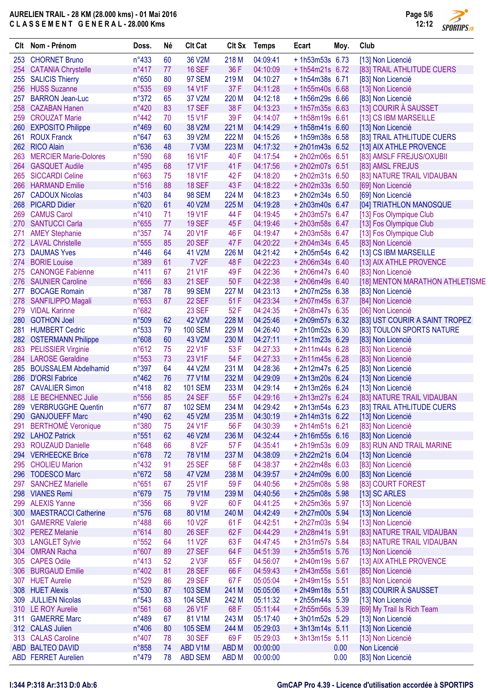

 $\overline{\phantom{a}}$ 

| Clt        | Nom - Prénom                                    | Doss.                   | Né       | <b>Clt Cat</b>          |                  | Clt Sx Temps         | Ecart                               | Moy. | Club                                   |
|------------|-------------------------------------------------|-------------------------|----------|-------------------------|------------------|----------------------|-------------------------------------|------|----------------------------------------|
| 253        | <b>CHORNET Bruno</b>                            | $n^{\circ}433$          | 60       | 36 V2M                  | 218 M            | 04:09:41             | $+1h53m53s$ 6.73                    |      | [13] Non Licencié                      |
| 254        | <b>CATANIA Chrystelle</b>                       | $n^{\circ}417$          | 77       | <b>16 SEF</b>           | 36 F             | 04:10:09             | $+1h54m21s$ 6.72                    |      | [83] TRAIL ATHLITUDE CUERS             |
|            | 255 SALICIS Thierry                             | n°650                   | 80       | <b>97 SEM</b>           | 219 M            | 04:10:27             | $+1h54m38s$ 6.71                    |      | [83] Non Licencié                      |
| 256        | <b>HUSS Suzanne</b>                             | n°535                   | 69       | <b>14 V1F</b>           | 37 F             | 04:11:28             | +1h55m40s 6.68                      |      | [13] Non Licencié                      |
| 257        | <b>BARRON Jean-Luc</b>                          | n°372                   | 65       | 37 V2M                  | 220 M            | 04:12:18             | $+1h56m29s$ 6.66                    |      | [83] Non Licencié                      |
| 258        | <b>CAZABAN Hanen</b>                            | n°420                   | 83       | 17 SEF                  | 38 F             | 04:13:23             | $+1h57m35s$ 6.63                    |      | [13] COURIR À SAUSSET                  |
| 259        | <b>CROUZAT Marie</b>                            | $n^{\circ}442$          | 70       | <b>15 V1F</b>           | 39F              | 04:14:07             | $+1h58m19s$ 6.61                    |      | [13] CS IBM MARSEILLE                  |
|            | 260 EXPOSITO Philippe                           | n°469                   | 60       | 38 V2M                  | 221 M            | 04:14:29             | $+1h58m41s$ 6.60                    |      | [13] Non Licencié                      |
| 261        | <b>ROUX Franck</b>                              | $n^{\circ}647$          | 63       | 39 V2M                  | 222 M            | 04:15:26             | +1h59m38s 6.58                      |      | [83] TRAIL ATHLITUDE CUERS             |
|            | 262 RICO Alain                                  | n°636                   | 48       | <b>7 V3M</b>            | 223 M            | 04:17:32             | $+ 2h01m43s$ 6.52                   |      | [13] AIX ATHLE PROVENCE                |
| 263        | <b>MERCIER Marie-Dolores</b>                    | n°590                   | 68       | <b>16 V1F</b>           | 40 F             | 04:17:54             | +2h02m06s 6.51                      |      | [83] AMSLF FREJUS/OXUBII               |
| 264        | <b>GASQUET Audile</b>                           | n°495                   | 68       | <b>17 V1F</b>           | 41 F             | 04:17:56             | +2h02m07s 6.51                      |      | [83] AMSL FREJUS                       |
| 265        | <b>SICCARDI Celine</b>                          | n°663                   | 75       | <b>18 V1F</b>           | 42F              | 04:18:20             | +2h02m31s 6.50                      |      | [83] NATURE TRAIL VIDAUBAN             |
| 266        | <b>HARMAND Emilie</b>                           | n°516                   | 88       | <b>18 SEF</b>           | 43F              | 04:18:22             | $+ 2h02m33s$ 6.50                   |      | [69] Non Licencié                      |
| 267        | <b>CADOUX Nicolas</b>                           | n°403                   | 84       | <b>98 SEM</b>           | 224 M            | 04:18:23             | $+ 2h02m34s$ 6.50                   |      | [69] Non Licencié                      |
| 268        | <b>PICARD Didier</b>                            | n°620                   | 61       | 40 V2M                  | 225 M            | 04:19:28             | +2h03m40s 6.47                      |      | [04] TRIATHLON MANOSQUE                |
| 269        | <b>CAMUS Carol</b>                              | $n^{\circ}410$          | 71       | <b>19 V1F</b>           | 44 F             | 04:19:45             | +2h03m57s 6.47                      |      | [13] Fos Olympique Club                |
| 270        | <b>SANTUCCI Carla</b>                           | n°655                   | 77       | <b>19 SEF</b>           | 45F              | 04:19:46             | +2h03m58s 6.47                      |      | [13] Fos Olympique Club                |
| 271        | <b>AMEY Stephanie</b>                           | $n^{\circ}357$          | 74       | 20 V1F                  | 46 F             | 04:19:47             | +2h03m58s 6.47                      |      | [13] Fos Olympique Club                |
|            | 272 LAVAL Christelle                            | n°555                   | 85       | <b>20 SEF</b>           | 47 F             | 04:20:22             | $+ 2h04m34s$ 6.45                   |      | [83] Non Licencié                      |
| 273        | <b>DAUMAS Yves</b>                              | $n^{\circ}446$          | 64       | 41 V2M                  | 226 M            | 04:21:42<br>04:22:23 | $+ 2h05m54s$ 6.42                   |      | [13] CS IBM MARSEILLE                  |
| 274        | <b>BORIE Louise</b><br><b>CANONGE Fabienne</b>  | n°389                   | 61       | 7 V <sub>2</sub> F      | 48F              |                      | $+ 2h06m34s 6.40$                   |      | [13] AIX ATHLE PROVENCE                |
| 275<br>276 |                                                 | $n^{\circ}411$          | 67<br>83 | 21 V1F<br><b>21 SEF</b> | 49 F<br>50F      | 04:22:36<br>04:22:38 | +2h06m47s 6.40                      |      | [83] Non Licencié                      |
|            | <b>SAUNIER Caroline</b><br><b>BOCAGE Romain</b> | $n^{\circ}656$          | 78       | <b>99 SEM</b>           | 227 M            | 04:23:13             | $+ 2h06m49s$ 6.40<br>+2h07m25s 6.38 |      | [18] MENTON MARATHON ATHLETISME        |
| 277<br>278 | <b>SANFILIPPO Magali</b>                        | $n^{\circ}387$<br>n°653 | 87       | 22 SEF                  | 51 F             | 04:23:34             | +2h07m45s 6.37                      |      | [83] Non Licencié                      |
|            | 279 VIDAL Karinne                               | n°682                   |          | <b>23 SEF</b>           | 52F              | 04:24:35             | $+2h08m47s$ 6.35                    |      | [84] Non Licencié<br>[06] Non Licencié |
| 280        | <b>GOTHON Joel</b>                              | n°509                   | 62       | 42 V2M                  | 228 M            | 04:25:46             | +2h09m57s 6.32                      |      | [83] UST COURIR A SAINT TROPEZ         |
| 281        | <b>HUMBERT Cedric</b>                           | $n^{\circ}533$          | 79       | <b>100 SEM</b>          | 229 M            | 04:26:40             | +2h10m52s 6.30                      |      | [83] TOULON SPORTS NATURE              |
|            | 282 OSTERMANN Philippe                          | n°608                   | 60       | 43 V2M                  | 230 M            | 04:27:11             | $+2h11m23s$ 6.29                    |      | [83] Non Licencié                      |
|            | 283 PELISSIER Virginie                          | n°612                   | 75       | 22 V1F                  | 53F              | 04:27:33             | $+ 2h11m44s$ 6.28                   |      | [83] Non Licencié                      |
|            | 284 LAROSE Geraldine                            | n°553                   | 73       | 23 V1F                  | 54 F             | 04:27:33             | $+2h11m45s$ 6.28                    |      | [83] Non Licencié                      |
| 285        | <b>BOUSSALEM Abdelhamid</b>                     | $n^{\circ}397$          | 64       | 44 V2M                  | 231 M            | 04:28:36             | +2h12m47s 6.25                      |      | [83] Non Licencié                      |
| 286        | <b>D'ORSI Fabrice</b>                           | $n^{\circ}462$          | 76       | <b>77 V1M</b>           | 232 M            | 04:29:09             | +2h13m20s 6.24                      |      | [13] Non Licencié                      |
| 287        | <b>CAVALIER Simon</b>                           | $n^{\circ}418$          | 82       | <b>101 SEM</b>          | 233 M            | 04:29:14             | +2h13m26s 6.24                      |      | [13] Non Licencié                      |
| 288        | LE BECHENNEC Julie                              | n°556                   | 85       | <b>24 SEF</b>           | 55F              | 04:29:16             | +2h13m27s 6.24                      |      | [83] NATURE TRAIL VIDAUBAN             |
|            | 289 VERBRUGGHE Quentin                          | $n^{\circ}677$          | 87       | <b>102 SEM</b>          | 234 M            | 04:29:42             | + 2h13m54s 6.23                     |      | [83] TRAIL ATHLITUDE CUERS             |
|            | 290 GANJOUEFF Marc                              | n°490                   | 62       | 45 V2M                  | 235 M            | 04:30:19             | $+ 2h14m31s$ 6.22                   |      | [13] Non Licencié                      |
| 291        | <b>BERTHOMÉ Veronique</b>                       | n°380                   | 75       | 24 V1F                  | 56 F             | 04:30:39             | $+2h14m51s$ 6.21                    |      | [83] Non Licencié                      |
|            | 292 LAHOZ Patrick                               | n°551                   | 62       | 46 V2M                  | 236 M            | 04:32:44             | $+2h16m55s$ 6.16                    |      | [83] Non Licencié                      |
|            | 293 ROUZAUD Danielle                            | n°648                   | 66       | 8 V <sub>2</sub> F      | 57 F             | 04:35:41             | +2h19m53s 6.09                      |      | [83] RUN AND TRAIL MARINE              |
|            | 294 VERHEECKE Brice                             | n°678                   | 72       | 78 V1M                  | 237 M            | 04:38:09             | +2h22m21s 6.04                      |      | [13] Non Licencié                      |
|            | 295 CHOLIEU Marion                              | $n^{\circ}432$          | 91       | <b>25 SEF</b>           | 58 F             | 04:38:37             | +2h22m48s 6.03                      |      | [83] Non Licencié                      |
|            | 296 TODESCO Marc                                | n°672                   | 58       | 47 V2M                  | 238 M            | 04:39:57             | +2h24m09s 6.00                      |      | [83] Non Licencié                      |
|            | 297 SANCHEZ Marielle                            | $n^{\circ}651$          | 67       | 25 V1F                  | 59F              | 04:40:56             | +2h25m08s 5.98                      |      | [83] COURT FOREST                      |
|            | 298 VIANES Remi                                 | n°679                   | 75       | 79 V1M                  | 239 M            | 04:40:56             | +2h25m08s 5.98                      |      | [13] SC ARLES                          |
|            | 299 ALEXIS Yanne                                | $n^{\circ}356$          | 66       | 9 V <sub>2</sub> F      | 60F              | 04:41:25             | +2h25m36s 5.97                      |      | [13] Non Licencié                      |
| 300        | <b>MAESTRACCI Catherine</b>                     | n°576                   | 68       | 80 V1M                  | 240 M            | 04:42:49             | +2h27m00s 5.94                      |      | [13] Non Licencié                      |
| 301        | <b>GAMERRE Valerie</b>                          | $n^{\circ}488$          | 66       | 10 V <sub>2</sub> F     | 61 F             | 04:42:51             | +2h27m03s 5.94                      |      | [13] Non Licencié                      |
|            | 302 PEREZ Melanie                               | n°614                   | 80       | <b>26 SEF</b>           | 62F              | 04:44:29             | $+2h28m41s$ 5.91                    |      | [83] NATURE TRAIL VIDAUBAN             |
|            | 303 LANGLET Sylvie                              | n°552                   | 64       | 11 V <sub>2</sub> F     | 63 F             | 04:47:45             | $+2h31m57s$ 5.84                    |      | [83] NATURE TRAIL VIDAUBAN             |
| 304        | <b>OMRAN Racha</b>                              | n°607                   | 89       | 27 SEF                  | 64F              | 04:51:39             | $+2h35m51s$ 5.76                    |      | [13] Non Licencié                      |
|            | 305 CAPES Odile                                 | $n^{\circ}413$          | 52       | 2 V3F                   | 65F              | 04:56:07             | +2h40m19s 5.67                      |      | [13] AIX ATHLE PROVENCE                |
| 306        | <b>BURGAUD Emilie</b>                           | n°402                   | 81       | <b>28 SEF</b>           | 66 F             | 04:59:43             | +2h43m55s 5.61                      |      | [85] Non Licencié                      |
|            | 307 HUET Aurelie                                | n°529                   | 86       | <b>29 SEF</b>           | 67F              | 05:05:04             | $+ 2h49m15s$ 5.51                   |      | [83] Non Licencié                      |
|            | 308 HUET Alexis                                 | n°530                   | 87       | <b>103 SEM</b>          | 241 M            | 05:05:06             | +2h49m18s 5.51                      |      | [83] COURIR À SAUSSET                  |
|            | 309 JULLIEN Nicolas                             | n°543                   | 83       | <b>104 SEM</b>          | 242 M            | 05:11:32             | $+2h55m44s$ 5.39                    |      | [13] Non Licencié                      |
|            | 310 LE ROY Aurelie                              | n°561                   | 68       | 26 V1F                  | 68F              | 05:11:44             | +2h55m56s 5.39                      |      | [69] My Trail Is Rich Team             |
|            | 311 GAMERRE Marc                                | n°489                   | 67       | 81 V1M                  | 243 M            | 05:17:40             | $+3h01m52s$ 5.29                    |      | [13] Non Licencié                      |
|            | 312 CALAS Julien                                | n°406                   | 80       | <b>105 SEM</b>          | 244 M            | 05:29:03             | $+3h13m14s$ 5.11                    |      | [13] Non Licencié                      |
|            | 313 CALAS Caroline                              | $n^{\circ}407$          | 78       | <b>30 SEF</b>           | 69F              | 05:29:03             | $+3h13m15s$ 5.11                    |      | [13] Non Licencié                      |
|            | ABD BALTEO DAVID                                | n°858                   | 74       | ABD V1M                 | ABD <sub>M</sub> | 00:00:00             |                                     | 0.00 | Non Licencié                           |
|            | <b>ABD FERRET Aurelien</b>                      | $n^{\circ}479$          | 78       | <b>ABD SEM</b>          | ABD <sub>M</sub> | 00:00:00             |                                     | 0.00 | [83] Non Licencié                      |